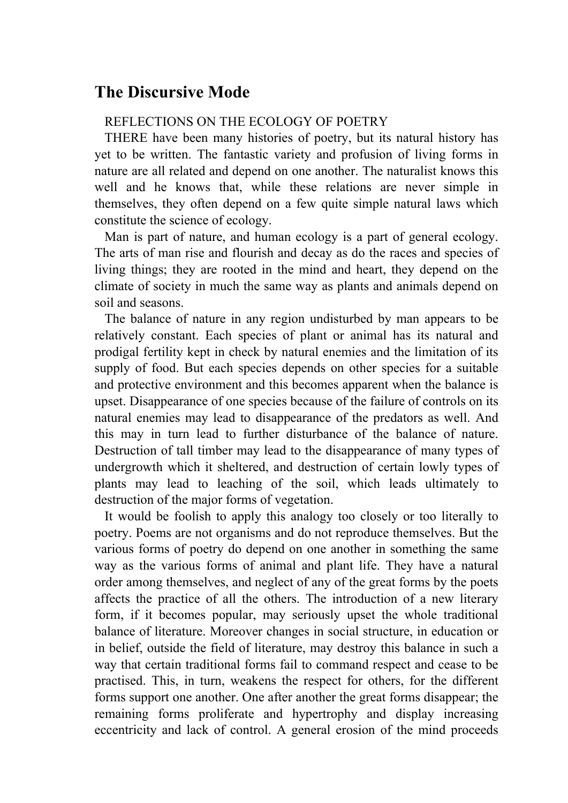## **The Discursive Mode**

## REFLECTIONS ON THE ECOLOGY OF POETRY

 THERE have been many histories of poetry, but its natural history has yet to be written. The fantastic variety and profusion of living forms in nature are all related and depend on one another. The naturalist knows this well and he knows that, while these relations are never simple in themselves, they often depend on a few quite simple natural laws which constitute the science of ecology.

 Man is part of nature, and human ecology is a part of general ecology. The arts of man rise and flourish and decay as do the races and species of living things; they are rooted in the mind and heart, they depend on the climate of society in much the same way as plants and animals depend on soil and seasons.

 The balance of nature in any region undisturbed by man appears to be relatively constant. Each species of plant or animal has its natural and prodigal fertility kept in check by natural enemies and the limitation of its supply of food. But each species depends on other species for a suitable and protective environment and this becomes apparent when the balance is upset. Disappearance of one species because of the failure of controls on its natural enemies may lead to disappearance of the predators as well. And this may in turn lead to further disturbance of the balance of nature. Destruction of tall timber may lead to the disappearance of many types of undergrowth which it sheltered, and destruction of certain lowly types of plants may lead to leaching of the soil, which leads ultimately to destruction of the major forms of vegetation.

 It would be foolish to apply this analogy too closely or too literally to poetry. Poems are not organisms and do not reproduce themselves. But the various forms of poetry do depend on one another in something the same way as the various forms of animal and plant life. They have a natural order among themselves, and neglect of any of the great forms by the poets affects the practice of all the others. The introduction of a new literary form, if it becomes popular, may seriously upset the whole traditional balance of literature. Moreover changes in social structure, in education or in belief, outside the field of literature, may destroy this balance in such a way that certain traditional forms fail to command respect and cease to be practised. This, in turn, weakens the respect for others, for the different forms support one another. One after another the great forms disappear; the remaining forms proliferate and hypertrophy and display increasing eccentricity and lack of control. A general erosion of the mind proceeds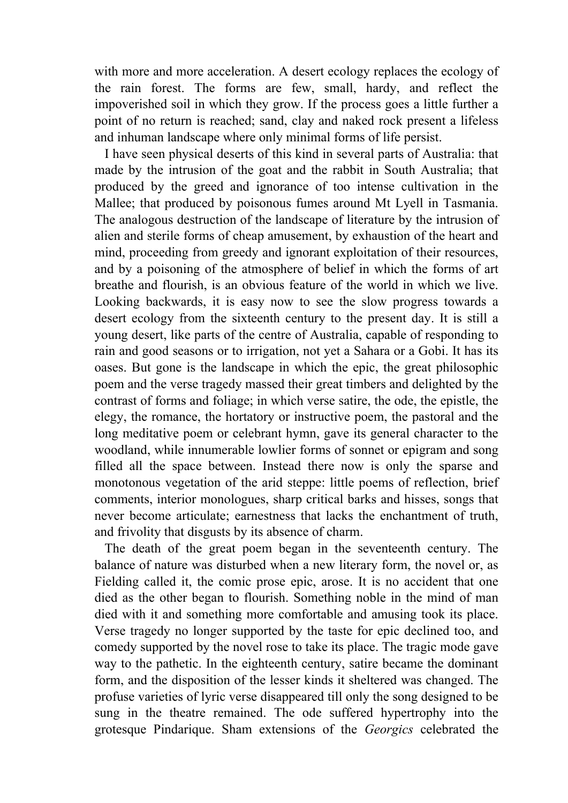with more and more acceleration. A desert ecology replaces the ecology of the rain forest. The forms are few, small, hardy, and reflect the impoverished soil in which they grow. If the process goes a little further a point of no return is reached; sand, clay and naked rock present a lifeless and inhuman landscape where only minimal forms of life persist.

 I have seen physical deserts of this kind in several parts of Australia: that made by the intrusion of the goat and the rabbit in South Australia; that produced by the greed and ignorance of too intense cultivation in the Mallee; that produced by poisonous fumes around Mt Lyell in Tasmania. The analogous destruction of the landscape of literature by the intrusion of alien and sterile forms of cheap amusement, by exhaustion of the heart and mind, proceeding from greedy and ignorant exploitation of their resources, and by a poisoning of the atmosphere of belief in which the forms of art breathe and flourish, is an obvious feature of the world in which we live. Looking backwards, it is easy now to see the slow progress towards a desert ecology from the sixteenth century to the present day. It is still a young desert, like parts of the centre of Australia, capable of responding to rain and good seasons or to irrigation, not yet a Sahara or a Gobi. It has its oases. But gone is the landscape in which the epic, the great philosophic poem and the verse tragedy massed their great timbers and delighted by the contrast of forms and foliage; in which verse satire, the ode, the epistle, the elegy, the romance, the hortatory or instructive poem, the pastoral and the long meditative poem or celebrant hymn, gave its general character to the woodland, while innumerable lowlier forms of sonnet or epigram and song filled all the space between. Instead there now is only the sparse and monotonous vegetation of the arid steppe: little poems of reflection, brief comments, interior monologues, sharp critical barks and hisses, songs that never become articulate; earnestness that lacks the enchantment of truth, and frivolity that disgusts by its absence of charm.

 The death of the great poem began in the seventeenth century. The balance of nature was disturbed when a new literary form, the novel or, as Fielding called it, the comic prose epic, arose. It is no accident that one died as the other began to flourish. Something noble in the mind of man died with it and something more comfortable and amusing took its place. Verse tragedy no longer supported by the taste for epic declined too, and comedy supported by the novel rose to take its place. The tragic mode gave way to the pathetic. In the eighteenth century, satire became the dominant form, and the disposition of the lesser kinds it sheltered was changed. The profuse varieties of lyric verse disappeared till only the song designed to be sung in the theatre remained. The ode suffered hypertrophy into the grotesque Pindarique. Sham extensions of the *Georgics* celebrated the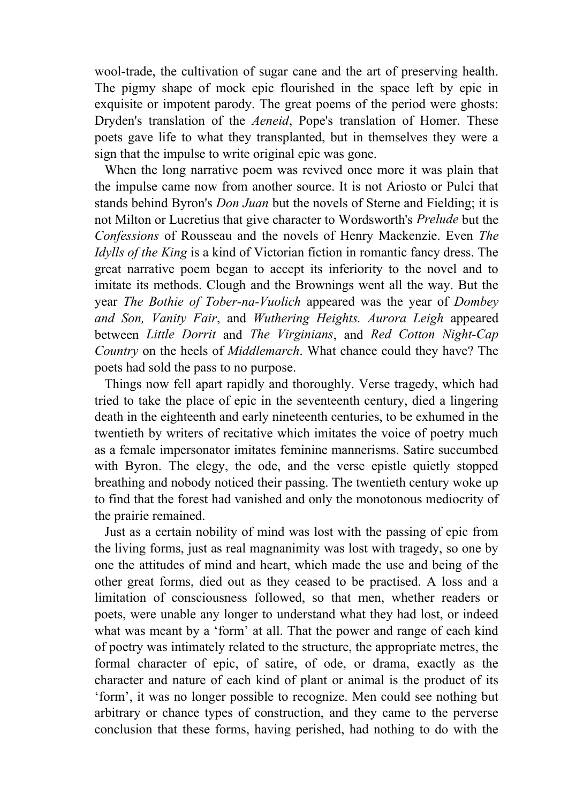wool-trade, the cultivation of sugar cane and the art of preserving health. The pigmy shape of mock epic flourished in the space left by epic in exquisite or impotent parody. The great poems of the period were ghosts: Dryden's translation of the *Aeneid*, Pope's translation of Homer. These poets gave life to what they transplanted, but in themselves they were a sign that the impulse to write original epic was gone.

 When the long narrative poem was revived once more it was plain that the impulse came now from another source. It is not Ariosto or Pulci that stands behind Byron's *Don Juan* but the novels of Sterne and Fielding; it is not Milton or Lucretius that give character to Wordsworth's *Prelude* but the *Confessions* of Rousseau and the novels of Henry Mackenzie. Even *The Idylls of the King* is a kind of Victorian fiction in romantic fancy dress. The great narrative poem began to accept its inferiority to the novel and to imitate its methods. Clough and the Brownings went all the way. But the year *The Bothie of Tober-na-Vuolich* appeared was the year of *Dombey and Son, Vanity Fair*, and *Wuthering Heights. Aurora Leigh* appeared between *Little Dorrit* and *The Virginians*, and *Red Cotton Night-Cap Country* on the heels of *Middlemarch*. What chance could they have? The poets had sold the pass to no purpose.

 Things now fell apart rapidly and thoroughly. Verse tragedy, which had tried to take the place of epic in the seventeenth century, died a lingering death in the eighteenth and early nineteenth centuries, to be exhumed in the twentieth by writers of recitative which imitates the voice of poetry much as a female impersonator imitates feminine mannerisms. Satire succumbed with Byron. The elegy, the ode, and the verse epistle quietly stopped breathing and nobody noticed their passing. The twentieth century woke up to find that the forest had vanished and only the monotonous mediocrity of the prairie remained.

 Just as a certain nobility of mind was lost with the passing of epic from the living forms, just as real magnanimity was lost with tragedy, so one by one the attitudes of mind and heart, which made the use and being of the other great forms, died out as they ceased to be practised. A loss and a limitation of consciousness followed, so that men, whether readers or poets, were unable any longer to understand what they had lost, or indeed what was meant by a 'form' at all. That the power and range of each kind of poetry was intimately related to the structure, the appropriate metres, the formal character of epic, of satire, of ode, or drama, exactly as the character and nature of each kind of plant or animal is the product of its form, it was no longer possible to recognize. Men could see nothing but arbitrary or chance types of construction, and they came to the perverse conclusion that these forms, having perished, had nothing to do with the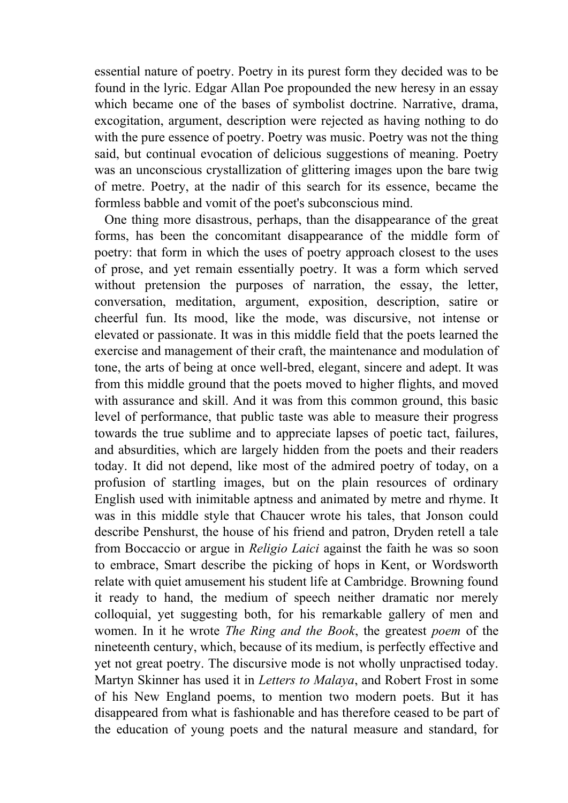essential nature of poetry. Poetry in its purest form they decided was to be found in the lyric. Edgar Allan Poe propounded the new heresy in an essay which became one of the bases of symbolist doctrine. Narrative, drama, excogitation, argument, description were rejected as having nothing to do with the pure essence of poetry. Poetry was music. Poetry was not the thing said, but continual evocation of delicious suggestions of meaning. Poetry was an unconscious crystallization of glittering images upon the bare twig of metre. Poetry, at the nadir of this search for its essence, became the formless babble and vomit of the poet's subconscious mind.

 One thing more disastrous, perhaps, than the disappearance of the great forms, has been the concomitant disappearance of the middle form of poetry: that form in which the uses of poetry approach closest to the uses of prose, and yet remain essentially poetry. It was a form which served without pretension the purposes of narration, the essay, the letter, conversation, meditation, argument, exposition, description, satire or cheerful fun. Its mood, like the mode, was discursive, not intense or elevated or passionate. It was in this middle field that the poets learned the exercise and management of their craft, the maintenance and modulation of tone, the arts of being at once well-bred, elegant, sincere and adept. It was from this middle ground that the poets moved to higher flights, and moved with assurance and skill. And it was from this common ground, this basic level of performance, that public taste was able to measure their progress towards the true sublime and to appreciate lapses of poetic tact, failures, and absurdities, which are largely hidden from the poets and their readers today. It did not depend, like most of the admired poetry of today, on a profusion of startling images, but on the plain resources of ordinary English used with inimitable aptness and animated by metre and rhyme. It was in this middle style that Chaucer wrote his tales, that Jonson could describe Penshurst, the house of his friend and patron, Dryden retell a tale from Boccaccio or argue in *Religio Laici* against the faith he was so soon to embrace, Smart describe the picking of hops in Kent, or Wordsworth relate with quiet amusement his student life at Cambridge. Browning found it ready to hand, the medium of speech neither dramatic nor merely colloquial, yet suggesting both, for his remarkable gallery of men and women. In it he wrote *The Ring and the Book*, the greatest *poem* of the nineteenth century, which, because of its medium, is perfectly effective and yet not great poetry. The discursive mode is not wholly unpractised today. Martyn Skinner has used it in *Letters to Malaya*, and Robert Frost in some of his New England poems, to mention two modern poets. But it has disappeared from what is fashionable and has therefore ceased to be part of the education of young poets and the natural measure and standard, for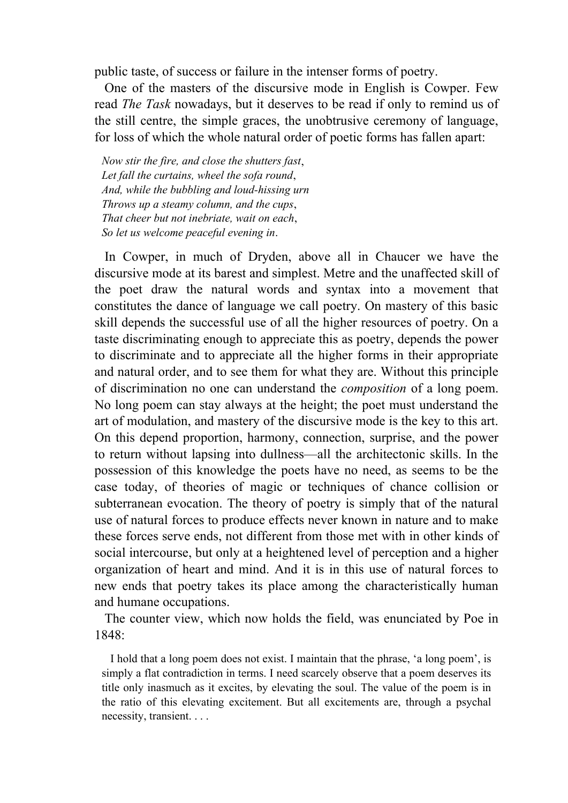public taste, of success or failure in the intenser forms of poetry.

 One of the masters of the discursive mode in English is Cowper. Few read *The Task* nowadays, but it deserves to be read if only to remind us of the still centre, the simple graces, the unobtrusive ceremony of language, for loss of which the whole natural order of poetic forms has fallen apart:

*Now stir the fire, and close the shutters fast*, *Let fall the curtains, wheel the sofa round*, *And, while the bubbling and loud-hissing urn Throws up a steamy column, and the cups*, *That cheer but not inebriate, wait on each*, *So let us welcome peaceful evening in*.

 In Cowper, in much of Dryden, above all in Chaucer we have the discursive mode at its barest and simplest. Metre and the unaffected skill of the poet draw the natural words and syntax into a movement that constitutes the dance of language we call poetry. On mastery of this basic skill depends the successful use of all the higher resources of poetry. On a taste discriminating enough to appreciate this as poetry, depends the power to discriminate and to appreciate all the higher forms in their appropriate and natural order, and to see them for what they are. Without this principle of discrimination no one can understand the *composition* of a long poem. No long poem can stay always at the height; the poet must understand the art of modulation, and mastery of the discursive mode is the key to this art. On this depend proportion, harmony, connection, surprise, and the power to return without lapsing into dullness—all the architectonic skills. In the possession of this knowledge the poets have no need, as seems to be the case today, of theories of magic or techniques of chance collision or subterranean evocation. The theory of poetry is simply that of the natural use of natural forces to produce effects never known in nature and to make these forces serve ends, not different from those met with in other kinds of social intercourse, but only at a heightened level of perception and a higher organization of heart and mind. And it is in this use of natural forces to new ends that poetry takes its place among the characteristically human and humane occupations.

 The counter view, which now holds the field, was enunciated by Poe in 1848:

I hold that a long poem does not exist. I maintain that the phrase, 'a long poem', is simply a flat contradiction in terms. I need scarcely observe that a poem deserves its title only inasmuch as it excites, by elevating the soul. The value of the poem is in the ratio of this elevating excitement. But all excitements are, through a psychal necessity, transient. . . .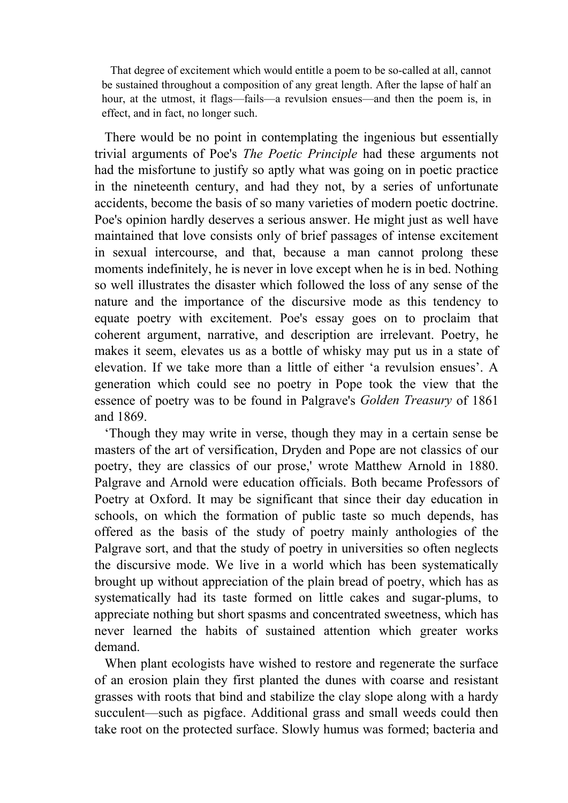That degree of excitement which would entitle a poem to be so-called at all, cannot be sustained throughout a composition of any great length. After the lapse of half an hour, at the utmost, it flags—fails—a revulsion ensues—and then the poem is, in effect, and in fact, no longer such.

 There would be no point in contemplating the ingenious but essentially trivial arguments of Poe's *The Poetic Principle* had these arguments not had the misfortune to justify so aptly what was going on in poetic practice in the nineteenth century, and had they not, by a series of unfortunate accidents, become the basis of so many varieties of modern poetic doctrine. Poe's opinion hardly deserves a serious answer. He might just as well have maintained that love consists only of brief passages of intense excitement in sexual intercourse, and that, because a man cannot prolong these moments indefinitely, he is never in love except when he is in bed. Nothing so well illustrates the disaster which followed the loss of any sense of the nature and the importance of the discursive mode as this tendency to equate poetry with excitement. Poe's essay goes on to proclaim that coherent argument, narrative, and description are irrelevant. Poetry, he makes it seem, elevates us as a bottle of whisky may put us in a state of elevation. If we take more than a little of either 'a revulsion ensues'. A generation which could see no poetry in Pope took the view that the essence of poetry was to be found in Palgrave's *Golden Treasury* of 1861 and 1869.

 Though they may write in verse, though they may in a certain sense be masters of the art of versification, Dryden and Pope are not classics of our poetry, they are classics of our prose,' wrote Matthew Arnold in 1880. Palgrave and Arnold were education officials. Both became Professors of Poetry at Oxford. It may be significant that since their day education in schools, on which the formation of public taste so much depends, has offered as the basis of the study of poetry mainly anthologies of the Palgrave sort, and that the study of poetry in universities so often neglects the discursive mode. We live in a world which has been systematically brought up without appreciation of the plain bread of poetry, which has as systematically had its taste formed on little cakes and sugar-plums, to appreciate nothing but short spasms and concentrated sweetness, which has never learned the habits of sustained attention which greater works demand.

 When plant ecologists have wished to restore and regenerate the surface of an erosion plain they first planted the dunes with coarse and resistant grasses with roots that bind and stabilize the clay slope along with a hardy succulent—such as pigface. Additional grass and small weeds could then take root on the protected surface. Slowly humus was formed; bacteria and